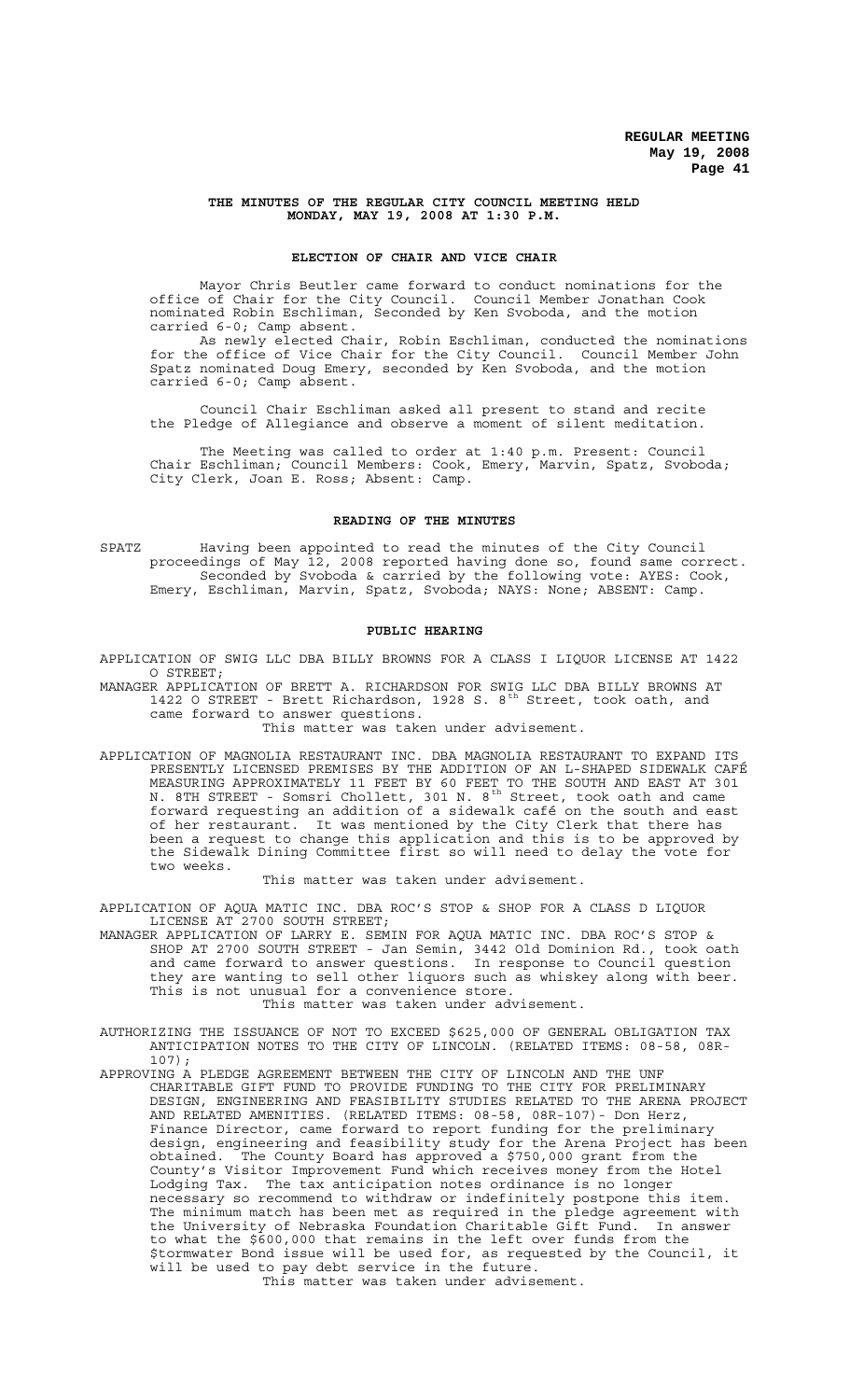### **THE MINUTES OF THE REGULAR CITY COUNCIL MEETING HELD MONDAY, MAY 19, 2008 AT 1:30 P.M.**

# **ELECTION OF CHAIR AND VICE CHAIR**

Mayor Chris Beutler came forward to conduct nominations for the office of Chair for the City Council. Council Member Jonathan Cook nominated Robin Eschliman, Seconded by Ken Svoboda, and the motion carried 6-0; Camp absent.

As newly elected Chair, Robin Eschliman, conducted the nominations for the office of Vice Chair for the City Council. Council Member John Spatz nominated Doug Emery, seconded by Ken Svoboda, and the motion carried 6-0; Camp absent.

Council Chair Eschliman asked all present to stand and recite the Pledge of Allegiance and observe a moment of silent meditation.

The Meeting was called to order at 1:40 p.m. Present: Council Chair Eschliman; Council Members: Cook, Emery, Marvin, Spatz, Svoboda; City Clerk, Joan E. Ross; Absent: Camp.

## **READING OF THE MINUTES**

SPATZ Having been appointed to read the minutes of the City Council proceedings of May 12, 2008 reported having done so, found same correct. Seconded by Svoboda & carried by the following vote: AYES: Cook, Emery, Eschliman, Marvin, Spatz, Svoboda; NAYS: None; ABSENT: Camp.

## **PUBLIC HEARING**

APPLICATION OF SWIG LLC DBA BILLY BROWNS FOR A CLASS I LIQUOR LICENSE AT 1422 O STREET;

MANAGER APPLICATION OF BRETT A. RICHARDSON FOR SWIG LLC DBA BILLY BROWNS AT 1422 O STREET - Brett Richardson, 1928 S. 8<sup>th</sup> Street, took oath, and came forward to answer questions.

This matter was taken under advisement.

APPLICATION OF MAGNOLIA RESTAURANT INC. DBA MAGNOLIA RESTAURANT TO EXPAND ITS PRESENTLY LICENSED PREMISES BY THE ADDITION OF AN L-SHAPED SIDEWALK CAFÉ MEASURING APPROXIMATELY 11 FEET BY 60 FEET TO THE SOUTH AND EAST AT 301 N. 8TH STREET - Somsri Chollett, 301 N. 8<sup>th</sup> Street, took oath and came forward requesting an addition of a sidewalk café on the south and east of her restaurant. It was mentioned by the City Clerk that there has been a request to change this application and this is to be approved by the Sidewalk Dining Committee first so will need to delay the vote for two weeks.

This matter was taken under advisement.

APPLICATION OF AQUA MATIC INC. DBA ROC'S STOP & SHOP FOR A CLASS D LIQUOR LICENSE AT 2700 SOUTH STREET;

MANAGER APPLICATION OF LARRY E. SEMIN FOR AQUA MATIC INC. DBA ROC'S STOP & SHOP AT 2700 SOUTH STREET - Jan Semin, 3442 Old Dominion Rd., took oath and came forward to answer questions. In response to Council question they are wanting to sell other liquors such as whiskey along with beer. This is not unusual for a convenience store.

This matter was taken under advisement.

- AUTHORIZING THE ISSUANCE OF NOT TO EXCEED \$625,000 OF GENERAL OBLIGATION TAX ANTICIPATION NOTES TO THE CITY OF LINCOLN. (RELATED ITEMS: 08-58, 08R-107);
- APPROVING A PLEDGE AGREEMENT BETWEEN THE CITY OF LINCOLN AND THE UNF CHARITABLE GIFT FUND TO PROVIDE FUNDING TO THE CITY FOR PRELIMINARY DESIGN, ENGINEERING AND FEASIBILITY STUDIES RELATED TO THE ARENA PROJECT AND RELATED AMENITIES. (RELATED ITEMS: 08-58, 08R-107)- Don Herz, Finance Director, came forward to report funding for the preliminary design, engineering and feasibility study for the Arena Project has been obtained. The County Board has approved a \$750,000 grant from the County's Visitor Improvement Fund which receives money from the Hotel Lodging Tax. The tax anticipation notes ordinance is no longer necessary so recommend to withdraw or indefinitely postpone this item. The minimum match has been met as required in the pledge agreement with the University of Nebraska Foundation Charitable Gift Fund. In answer to what the \$600,000 that remains in the left over funds from the \$tormwater Bond issue will be used for, as requested by the Council, it will be used to pay debt service in the future. This matter was taken under advisement.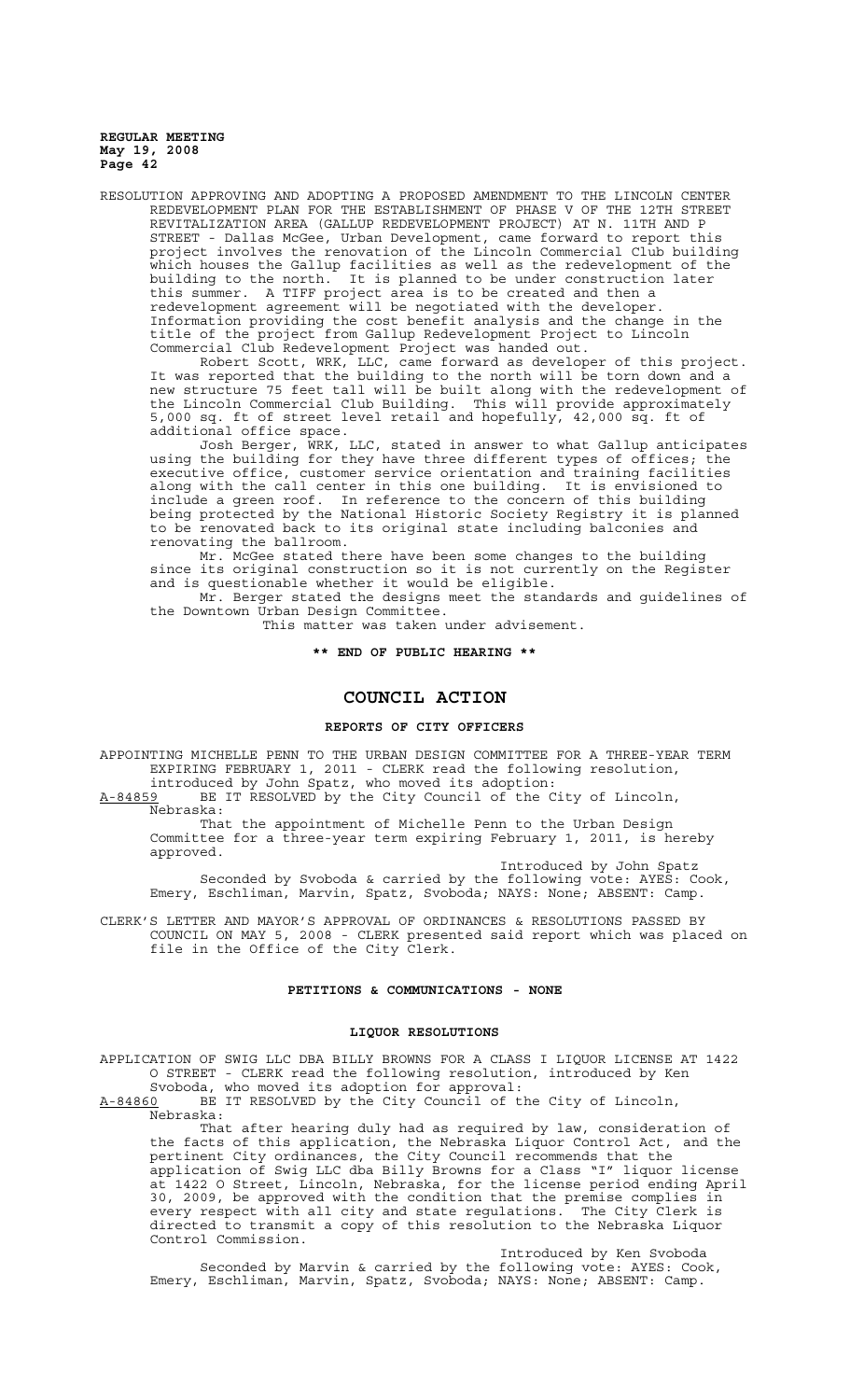RESOLUTION APPROVING AND ADOPTING A PROPOSED AMENDMENT TO THE LINCOLN CENTER REDEVELOPMENT PLAN FOR THE ESTABLISHMENT OF PHASE V OF THE 12TH STREET REVITALIZATION AREA (GALLUP REDEVELOPMENT PROJECT) AT N. 11TH AND P STREET - Dallas McGee, Urban Development, came forward to report this project involves the renovation of the Lincoln Commercial Club building which houses the Gallup facilities as well as the redevelopment of the building to the north. It is planned to be under construction later this summer. A TIFF project area is to be created and then a redevelopment agreement will be negotiated with the developer. Information providing the cost benefit analysis and the change in the title of the project from Gallup Redevelopment Project to Lincoln Commercial Club Redevelopment Project was handed out.

Robert Scott, WRK, LLC, came forward as developer of this project. It was reported that the building to the north will be torn down and a new structure 75 feet tall will be built along with the redevelopment of the Lincoln Commercial Club Building. This will provide approximately 5,000 sq. ft of street level retail and hopefully, 42,000 sq. ft of additional office space.

Josh Berger, WRK, LLC, stated in answer to what Gallup anticipates using the building for they have three different types of offices; the executive office, customer service orientation and training facilities along with the call center in this one building. It is envisioned to include a green roof. In reference to the concern of this building being protected by the National Historic Society Registry it is planned to be renovated back to its original state including balconies and renovating the ballroom.

Mr. McGee stated there have been some changes to the building since its original construction so it is not currently on the Register and is questionable whether it would be eligible.

Mr. Berger stated the designs meet the standards and guidelines of the Downtown Urban Design Committee.

This matter was taken under advisement.

## **\*\* END OF PUBLIC HEARING \*\***

# **COUNCIL ACTION**

#### **REPORTS OF CITY OFFICERS**

APPOINTING MICHELLE PENN TO THE URBAN DESIGN COMMITTEE FOR A THREE-YEAR TERM EXPIRING FEBRUARY 1, 2011 - CLERK read the following resolution,

introduced by John Spatz, who moved its adoption:<br>A-84859 BE IT RESOLVED by the City Council of the C BE IT RESOLVED by the City Council of the City of Lincoln, Nebraska:

That the appointment of Michelle Penn to the Urban Design Committee for a three-year term expiring February 1, 2011, is hereby approved.

Introduced by John Spatz Seconded by Svoboda & carried by the following vote: AYES: Cook, Emery, Eschliman, Marvin, Spatz, Svoboda; NAYS: None; ABSENT: Camp.

CLERK'S LETTER AND MAYOR'S APPROVAL OF ORDINANCES & RESOLUTIONS PASSED BY COUNCIL ON MAY 5, 2008 - CLERK presented said report which was placed on file in the Office of the City Clerk.

## **PETITIONS & COMMUNICATIONS - NONE**

## **LIQUOR RESOLUTIONS**

APPLICATION OF SWIG LLC DBA BILLY BROWNS FOR A CLASS I LIQUOR LICENSE AT 1422 O STREET - CLERK read the following resolution, introduced by Ken Svoboda, who moved its adoption for approval:

A-84860 BE IT RESOLVED by the City Council of the City of Lincoln, Nebraska:

That after hearing duly had as required by law, consideration of the facts of this application, the Nebraska Liquor Control Act, and the pertinent City ordinances, the City Council recommends that the application of Swig LLC dba Billy Browns for a Class "I" liquor license at 1422 O Street, Lincoln, Nebraska, for the license period ending April 30, 2009, be approved with the condition that the premise complies in every respect with all city and state regulations. The City Clerk is directed to transmit a copy of this resolution to the Nebraska Liquor Control Commission.

Introduced by Ken Svoboda Seconded by Marvin & carried by the following vote: AYES: Cook, Emery, Eschliman, Marvin, Spatz, Svoboda; NAYS: None; ABSENT: Camp.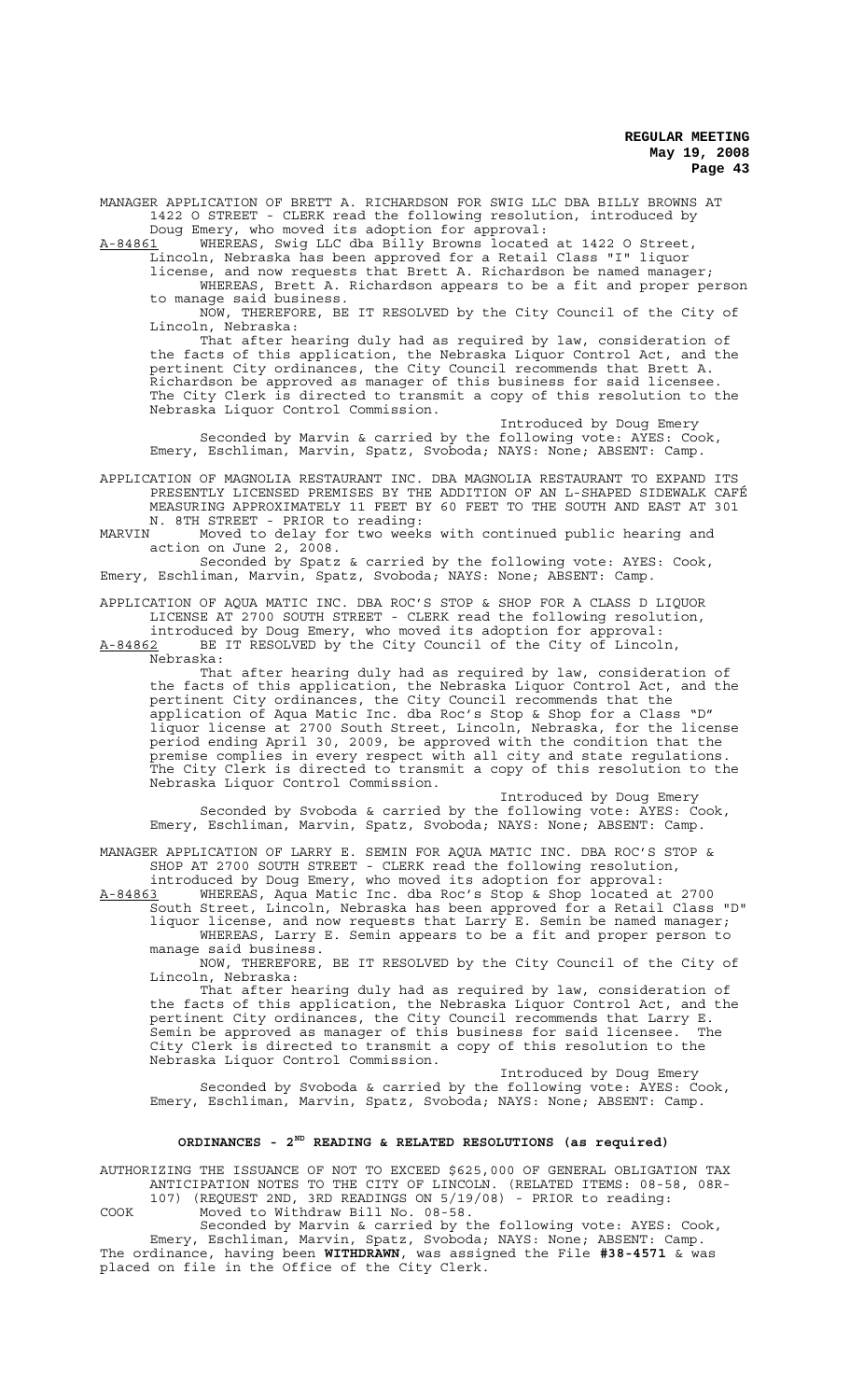MANAGER APPLICATION OF BRETT A. RICHARDSON FOR SWIG LLC DBA BILLY BROWNS AT 1422 O STREET - CLERK read the following resolution, introduced by Doug Emery, who moved its adoption for approval:

A-84861 WHEREAS, Swig LLC dba Billy Browns located at 1422 O Street,

Lincoln, Nebraska has been approved for a Retail Class "I" liquor

license, and now requests that Brett A. Richardson be named manager; WHEREAS, Brett A. Richardson appears to be a fit and proper person to manage said business.

NOW, THEREFORE, BE IT RESOLVED by the City Council of the City of Lincoln, Nebraska:

That after hearing duly had as required by law, consideration of the facts of this application, the Nebraska Liquor Control Act, and the pertinent City ordinances, the City Council recommends that Brett A. .<br>Richardson be approved as manager of this business for said licensee. The City Clerk is directed to transmit a copy of this resolution to the Nebraska Liquor Control Commission.

Introduced by Doug Emery Seconded by Marvin & carried by the following vote: AYES: Cook, Emery, Eschliman, Marvin, Spatz, Svoboda; NAYS: None; ABSENT: Camp.

APPLICATION OF MAGNOLIA RESTAURANT INC. DBA MAGNOLIA RESTAURANT TO EXPAND ITS PRESENTLY LICENSED PREMISES BY THE ADDITION OF AN L-SHAPED SIDEWALK CAFÉ MEASURING APPROXIMATELY 11 FEET BY 60 FEET TO THE SOUTH AND EAST AT 301 N. 8TH STREET - PRIOR to reading:

MARVIN Moved to delay for two weeks with continued public hearing and action on June 2, 2008.

Seconded by Spatz & carried by the following vote: AYES: Cook, Emery, Eschliman, Marvin, Spatz, Svoboda; NAYS: None; ABSENT: Camp.

APPLICATION OF AQUA MATIC INC. DBA ROC'S STOP & SHOP FOR A CLASS D LIQUOR LICENSE AT 2700 SOUTH STREET - CLERK read the following resolution, introduced by Doug Emery, who moved its adoption for approval:

A-84862 BE IT RESOLVED by the City Council of the City of Lincoln, Nebraska:

That after hearing duly had as required by law, consideration of the facts of this application, the Nebraska Liquor Control Act, and the pertinent City ordinances, the City Council recommends that the application of Aqua Matic Inc. dba Roc's Stop & Shop for a Class "D" liquor license at 2700 South Street, Lincoln, Nebraska, for the license period ending April 30, 2009, be approved with the condition that the premise complies in every respect with all city and state regulations. The City Clerk is directed to transmit a copy of this resolution to the Nebraska Liquor Control Commission.

Introduced by Doug Emery Seconded by Svoboda & carried by the following vote: AYES: Cook, Emery, Eschliman, Marvin, Spatz, Svoboda; NAYS: None; ABSENT: Camp.

MANAGER APPLICATION OF LARRY E. SEMIN FOR AQUA MATIC INC. DBA ROC'S STOP & SHOP AT 2700 SOUTH STREET - CLERK read the following resolution, introduced by Doug Emery, who moved its adoption for approval:

A-84863 WHEREAS, Aqua Matic Inc. dba Roc's Stop & Shop located at 2700 South Street, Lincoln, Nebraska has been approved for a Retail Class "D" liquor license, and now requests that Larry E. Semin be named manager; WHEREAS, Larry E. Semin appears to be a fit and proper person to manage said business.

NOW, THEREFORE, BE IT RESOLVED by the City Council of the City of Lincoln, Nebraska:

That after hearing duly had as required by law, consideration of the facts of this application, the Nebraska Liquor Control Act, and the pertinent City ordinances, the City Council recommends that Larry E. Semin be approved as manager of this business for said licensee. The City Clerk is directed to transmit a copy of this resolution to the Nebraska Liquor Control Commission.

Introduced by Doug Emery Seconded by Svoboda & carried by the following vote: AYES: Cook, Emery, Eschliman, Marvin, Spatz, Svoboda; NAYS: None; ABSENT: Camp.

# **ORDINANCES - 2ND READING & RELATED RESOLUTIONS (as required)**

AUTHORIZING THE ISSUANCE OF NOT TO EXCEED \$625,000 OF GENERAL OBLIGATION TAX ANTICIPATION NOTES TO THE CITY OF LINCOLN. (RELATED ITEMS: 08-58, 08R-

107) (REQUEST 2ND, 3RD READINGS ON 5/19/08) - PRIOR to reading: COOK Moved to Withdraw Bill No. 08-58.

Seconded by Marvin & carried by the following vote: AYES: Cook, Emery, Eschliman, Marvin, Spatz, Svoboda; NAYS: None; ABSENT: Camp. The ordinance, having been **WITHDRAWN**, was assigned the File **#38-4571** & was placed on file in the Office of the City Clerk.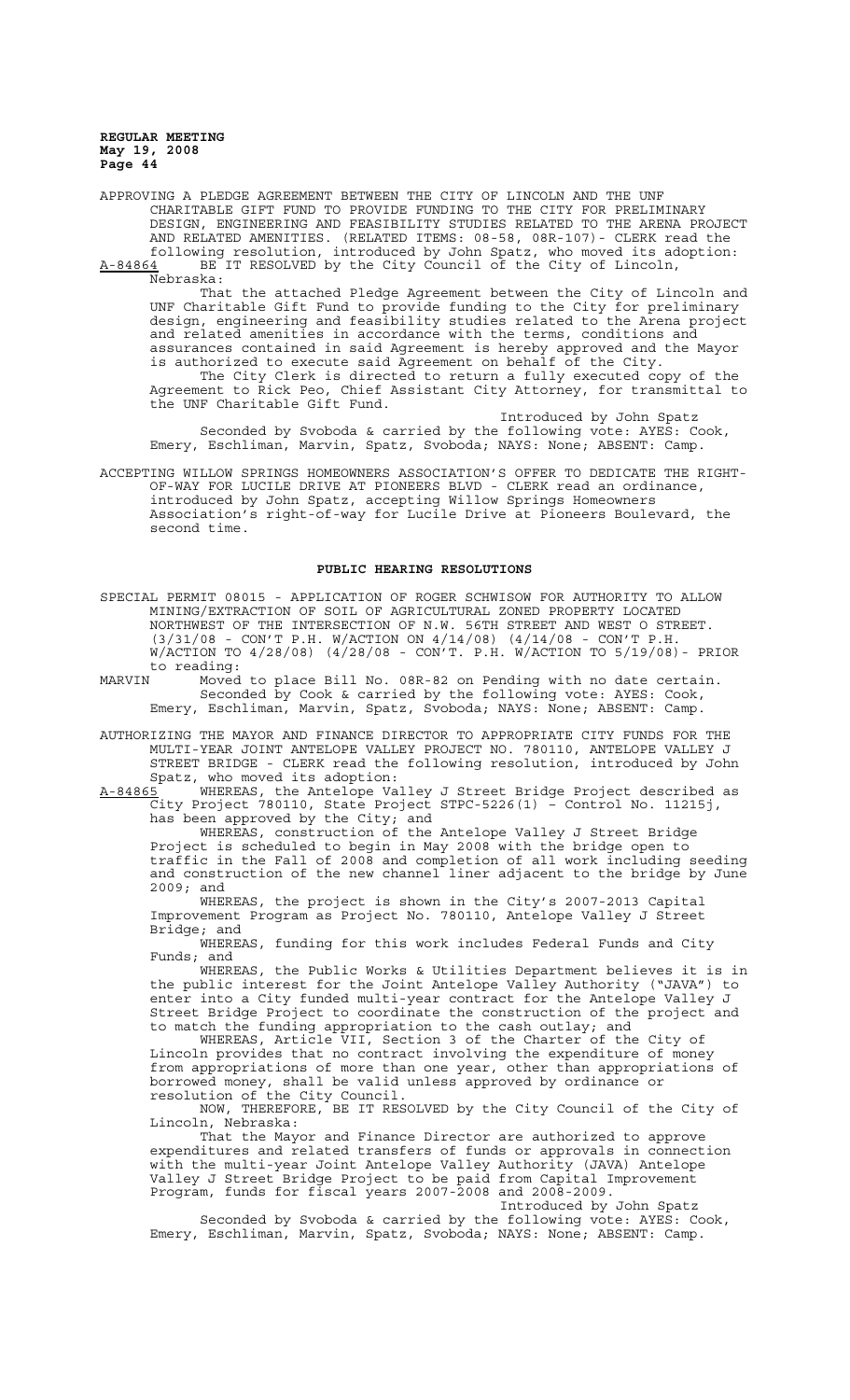APPROVING A PLEDGE AGREEMENT BETWEEN THE CITY OF LINCOLN AND THE UNF CHARITABLE GIFT FUND TO PROVIDE FUNDING TO THE CITY FOR PRELIMINARY DESIGN, ENGINEERING AND FEASIBILITY STUDIES RELATED TO THE ARENA PROJECT AND RELATED AMENITIES. (RELATED ITEMS: 08-58, 08R-107)- CLERK read the following resolution, introduced by John Spatz, who moved its adoption: A-84864 BE IT RESOLVED by the City Council of the City of Lincoln,

Nebraska: That the attached Pledge Agreement between the City of Lincoln and UNF Charitable Gift Fund to provide funding to the City for preliminary design, engineering and feasibility studies related to the Arena project and related amenities in accordance with the terms, conditions and assurances contained in said Agreement is hereby approved and the Mayor is authorized to execute said Agreement on behalf of the City. The City Clerk is directed to return a fully executed copy of the Agreement to Rick Peo, Chief Assistant City Attorney, for transmittal to the UNF Charitable Gift Fund.

Introduced by John Spatz Seconded by Svoboda & carried by the following vote: AYES: Cook, Emery, Eschliman, Marvin, Spatz, Svoboda; NAYS: None; ABSENT: Camp.

ACCEPTING WILLOW SPRINGS HOMEOWNERS ASSOCIATION'S OFFER TO DEDICATE THE RIGHT-OF-WAY FOR LUCILE DRIVE AT PIONEERS BLVD - CLERK read an ordinance, introduced by John Spatz, accepting Willow Springs Homeowners Association's right-of-way for Lucile Drive at Pioneers Boulevard, the second time.

# **PUBLIC HEARING RESOLUTIONS**

SPECIAL PERMIT 08015 - APPLICATION OF ROGER SCHWISOW FOR AUTHORITY TO ALLOW MINING/EXTRACTION OF SOIL OF AGRICULTURAL ZONED PROPERTY LOCATED NORTHWEST OF THE INTERSECTION OF N.W. 56TH STREET AND WEST O STREET. (3/31/08 - CON'T P.H. W/ACTION ON 4/14/08) (4/14/08 - CON'T P.H. W/ACTION TO 4/28/08) (4/28/08 - CON'T. P.H. W/ACTION TO 5/19/08)- PRIOR

to reading:<br>MARVIN Moved MARVIN Moved to place Bill No. 08R-82 on Pending with no date certain. Seconded by Cook & carried by the following vote: AYES: Cook, Emery, Eschliman, Marvin, Spatz, Svoboda; NAYS: None; ABSENT: Camp.

AUTHORIZING THE MAYOR AND FINANCE DIRECTOR TO APPROPRIATE CITY FUNDS FOR THE MULTI-YEAR JOINT ANTELOPE VALLEY PROJECT NO. 780110, ANTELOPE VALLEY J STREET BRIDGE - CLERK read the following resolution, introduced by John Spatz, who moved its adoption:

A-84865 WHEREAS, the Antelope Valley J Street Bridge Project described as City Project 780110, State Project STPC-5226(1) – Control No. 11215j, has been approved by the City; and

WHEREAS, construction of the Antelope Valley J Street Bridge Project is scheduled to begin in May 2008 with the bridge open to traffic in the Fall of 2008 and completion of all work including seeding and construction of the new channel liner adjacent to the bridge by June 2009; and

WHEREAS, the project is shown in the City's 2007-2013 Capital Improvement Program as Project No. 780110, Antelope Valley J Street Bridge; and

WHEREAS, funding for this work includes Federal Funds and City Funds; and

WHEREAS, the Public Works & Utilities Department believes it is in the public interest for the Joint Antelope Valley Authority ("JAVA") to enter into a City funded multi-year contract for the Antelope Valley J Street Bridge Project to coordinate the construction of the project and to match the funding appropriation to the cash outlay; and

WHEREAS, Article VII, Section 3 of the Charter of the City of Lincoln provides that no contract involving the expenditure of money from appropriations of more than one year, other than appropriations of borrowed money, shall be valid unless approved by ordinance or resolution of the City Council.

NOW, THEREFORE, BE IT RESOLVED by the City Council of the City of Lincoln, Nebraska:

That the Mayor and Finance Director are authorized to approve expenditures and related transfers of funds or approvals in connection with the multi-year Joint Antelope Valley Authority (JAVA) Antelope Valley J Street Bridge Project to be paid from Capital Improvement Program, funds for fiscal years 2007-2008 and 2008-2009.

Introduced by John Spatz Seconded by Svoboda & carried by the following vote: AYES: Cook, Emery, Eschliman, Marvin, Spatz, Svoboda; NAYS: None; ABSENT: Camp.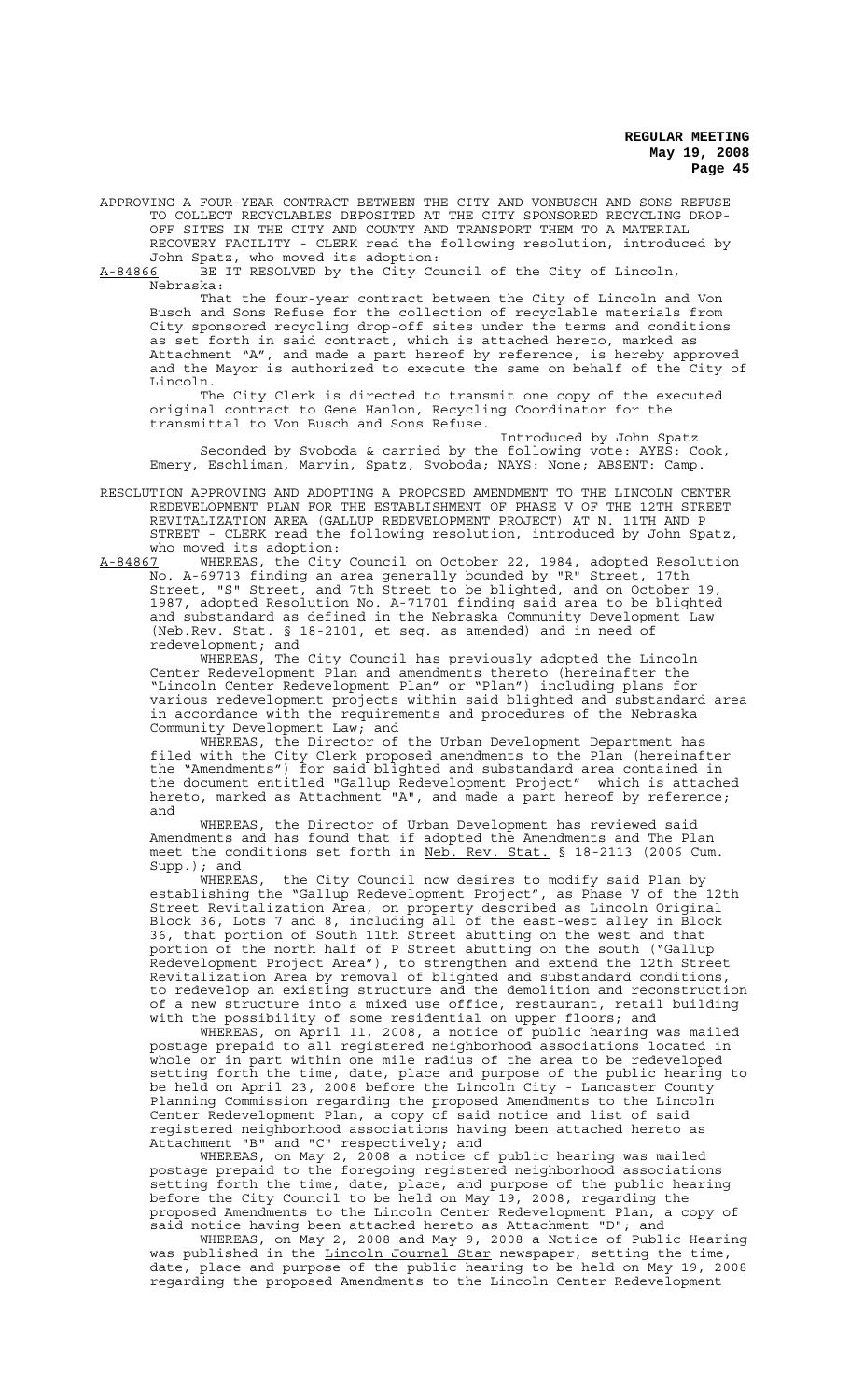APPROVING A FOUR-YEAR CONTRACT BETWEEN THE CITY AND VONBUSCH AND SONS REFUSE TO COLLECT RECYCLABLES DEPOSITED AT THE CITY SPONSORED RECYCLING DROP-OFF SITES IN THE CITY AND COUNTY AND TRANSPORT THEM TO A MATERIAL RECOVERY FACILITY - CLERK read the following resolution, introduced by John Spatz, who moved its adoption:

A-84866 BE IT RESOLVED by the City Council of the City of Lincoln, Nebraska:

That the four-year contract between the City of Lincoln and Von Busch and Sons Refuse for the collection of recyclable materials from City sponsored recycling drop-off sites under the terms and conditions as set forth in said contract, which is attached hereto, marked as Attachment "A", and made a part hereof by reference, is hereby approved and the Mayor is authorized to execute the same on behalf of the City of Lincoln.

The City Clerk is directed to transmit one copy of the executed original contract to Gene Hanlon, Recycling Coordinator for the transmittal to Von Busch and Sons Refuse.

Introduced by John Spatz Seconded by Svoboda & carried by the following vote: AYES: Cook, Emery, Eschliman, Marvin, Spatz, Svoboda; NAYS: None; ABSENT: Camp.

RESOLUTION APPROVING AND ADOPTING A PROPOSED AMENDMENT TO THE LINCOLN CENTER REDEVELOPMENT PLAN FOR THE ESTABLISHMENT OF PHASE V OF THE 12TH STREET REVITALIZATION AREA (GALLUP REDEVELOPMENT PROJECT) AT N. 11TH AND P STREET - CLERK read the following resolution, introduced by John Spatz, who moved its adoption:<br>A-84867 WHEREAS, the City

A-84867 WHEREAS, the City Council on October 22, 1984, adopted Resolution No. A-69713 finding an area generally bounded by "R" Street, 17th Street, "S" Street, and 7th Street to be blighted, and on October 19, 1987, adopted Resolution No. A-71701 finding said area to be blighted and substandard as defined in the Nebraska Community Development Law (Neb.Rev. Stat. § 18-2101, et seq. as amended) and in need of redevelopment; and

WHEREAS, The City Council has previously adopted the Lincoln Center Redevelopment Plan and amendments thereto (hereinafter the "Lincoln Center Redevelopment Plan" or "Plan") including plans for various redevelopment projects within said blighted and substandard area in accordance with the requirements and procedures of the Nebraska Community Development Law; and

WHEREAS, the Director of the Urban Development Department has filed with the City Clerk proposed amendments to the Plan (hereinafter the "Amendments") for said blighted and substandard area contained in the document entitled "Gallup Redevelopment Project" which is attached hereto, marked as Attachment "A", and made a part hereof by reference; and

WHEREAS, the Director of Urban Development has reviewed said Amendments and has found that if adopted the Amendments and The Plan meet the conditions set forth in Neb. Rev. Stat. § 18-2113 (2006 Cum. Supp.); and

WHEREAS, the City Council now desires to modify said Plan by establishing the "Gallup Redevelopment Project", as Phase V of the 12th Street Revitalization Area, on property described as Lincoln Original Block 36, Lots 7 and 8, including all of the east-west alley in Block 36, that portion of South 11th Street abutting on the west and that portion of the north half of P Street abutting on the south ("Gallup Redevelopment Project Area"), to strengthen and extend the 12th Street Revitalization Area by removal of blighted and substandard conditions, to redevelop an existing structure and the demolition and reconstruction of a new structure into a mixed use office, restaurant, retail building with the possibility of some residential on upper floors; and

WHEREAS, on April 11, 2008, a notice of public hearing was mailed postage prepaid to all registered neighborhood associations located in whole or in part within one mile radius of the area to be redeveloped setting forth the time, date, place and purpose of the public hearing to be held on April 23, 2008 before the Lincoln City - Lancaster County Planning Commission regarding the proposed Amendments to the Lincoln Center Redevelopment Plan, a copy of said notice and list of said registered neighborhood associations having been attached hereto as Attachment "B" and "C" respectively; and

WHEREAS, on May 2, 2008 a notice of public hearing was mailed postage prepaid to the foregoing registered neighborhood associations setting forth the time, date, place, and purpose of the public hearing before the City Council to be held on May 19, 2008, regarding the proposed Amendments to the Lincoln Center Redevelopment Plan, a copy of said notice having been attached hereto as Attachment "D"; and

WHEREAS, on May 2, 2008 and May 9, 2008 a Notice of Public Hearing was published in the Lincoln Journal Star newspaper, setting the time, date, place and purpose of the public hearing to be held on May 19, 2008 regarding the proposed Amendments to the Lincoln Center Redevelopment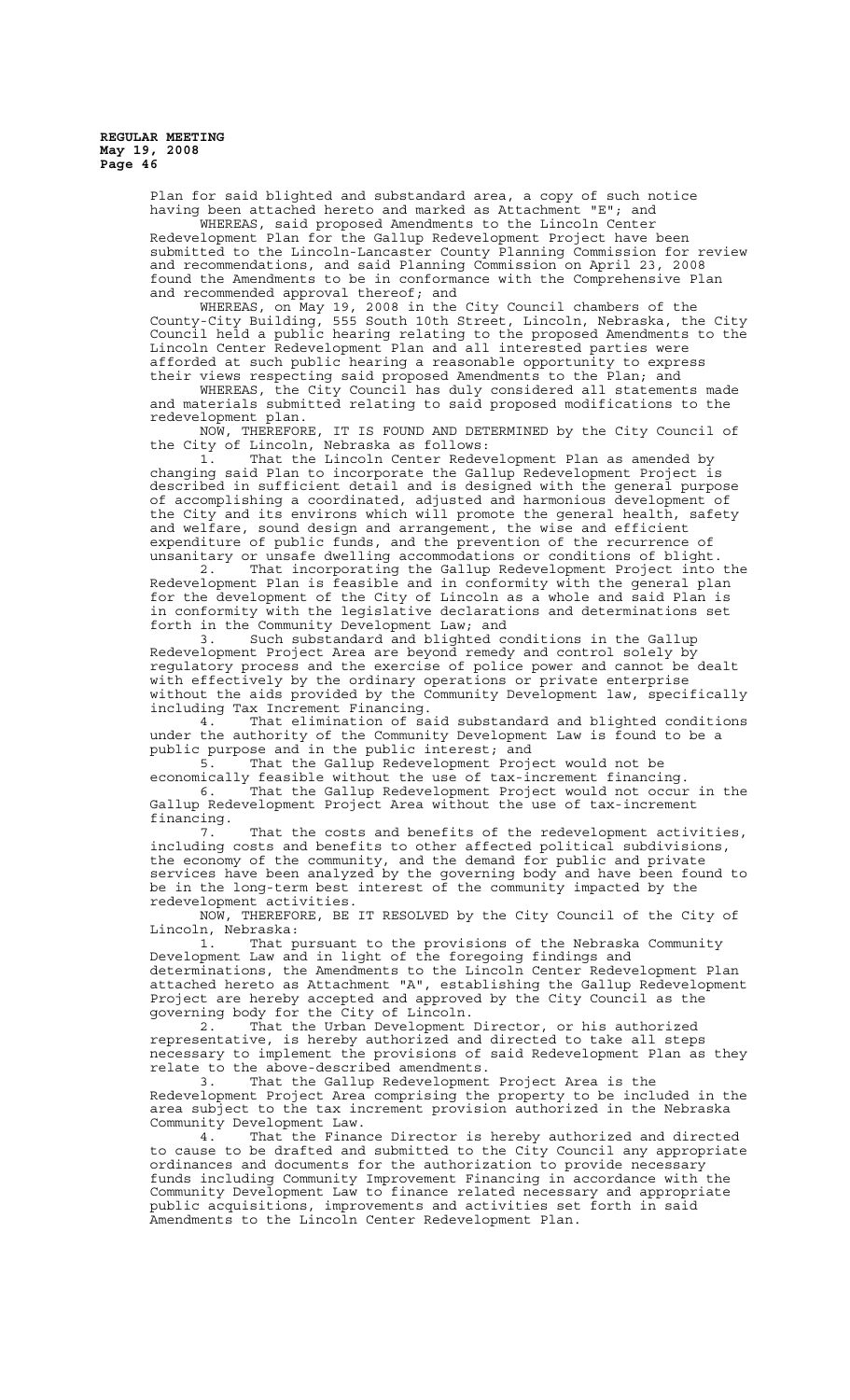> Plan for said blighted and substandard area, a copy of such notice having been attached hereto and marked as Attachment "E"; and WHEREAS, said proposed Amendments to the Lincoln Center Redevelopment Plan for the Gallup Redevelopment Project have been submitted to the Lincoln-Lancaster County Planning Commission for review and recommendations, and said Planning Commission on April 23, 2008 found the Amendments to be in conformance with the Comprehensive Plan

> and recommended approval thereof; and WHEREAS, on May 19, 2008 in the City Council chambers of the County-City Building, 555 South 10th Street, Lincoln, Nebraska, the City Council held a public hearing relating to the proposed Amendments to the Lincoln Center Redevelopment Plan and all interested parties were afforded at such public hearing a reasonable opportunity to express their views respecting said proposed Amendments to the Plan; and

WHEREAS, the City Council has duly considered all statements made and materials submitted relating to said proposed modifications to the redevelopment plan.

NOW, THEREFORE, IT IS FOUND AND DETERMINED by the City Council of the City of Lincoln, Nebraska as follows:

1. That the Lincoln Center Redevelopment Plan as amended by changing said Plan to incorporate the Gallup Redevelopment Project is described in sufficient detail and is designed with the general purpose of accomplishing a coordinated, adjusted and harmonious development of the City and its environs which will promote the general health, safety and welfare, sound design and arrangement, the wise and efficient expenditure of public funds, and the prevention of the recurrence of unsanitary or unsafe dwelling accommodations or conditions of blight.

2. That incorporating the Gallup Redevelopment Project into the Redevelopment Plan is feasible and in conformity with the general plan for the development of the City of Lincoln as a whole and said Plan is in conformity with the legislative declarations and determinations set forth in the Community Development Law; and

3. Such substandard and blighted conditions in the Gallup Redevelopment Project Area are beyond remedy and control solely by regulatory process and the exercise of police power and cannot be dealt with effectively by the ordinary operations or private enterprise without the aids provided by the Community Development law, specifically including Tax Increment Financing.

4. That elimination of said substandard and blighted conditions under the authority of the Community Development Law is found to be a public purpose and in the public interest; and

That the Gallup Redevelopment Project would not be economically feasible without the use of tax-increment financing. 6. That the Gallup Redevelopment Project would not occur in the Gallup Redevelopment Project Area without the use of tax-increment

financing. 7. That the costs and benefits of the redevelopment activities, including costs and benefits to other affected political subdivisions, the economy of the community, and the demand for public and private services have been analyzed by the governing body and have been found to be in the long-term best interest of the community impacted by the redevelopment activities.

NOW, THEREFORE, BE IT RESOLVED by the City Council of the City of Lincoln, Nebraska:

1. That pursuant to the provisions of the Nebraska Community Development Law and in light of the foregoing findings and determinations, the Amendments to the Lincoln Center Redevelopment Plan attached hereto as Attachment "A", establishing the Gallup Redevelopment Project are hereby accepted and approved by the City Council as the governing body for the City of Lincoln.

2. That the Urban Development Director, or his authorized representative, is hereby authorized and directed to take all steps necessary to implement the provisions of said Redevelopment Plan as they relate to the above-described amendments.<br>3. That the Gallup Redevelopment

That the Gallup Redevelopment Project Area is the Redevelopment Project Area comprising the property to be included in the area subject to the tax increment provision authorized in the Nebraska Community Development Law.

4. That the Finance Director is hereby authorized and directed to cause to be drafted and submitted to the City Council any appropriate ordinances and documents for the authorization to provide necessary funds including Community Improvement Financing in accordance with the Community Development Law to finance related necessary and appropriate public acquisitions, improvements and activities set forth in said Amendments to the Lincoln Center Redevelopment Plan.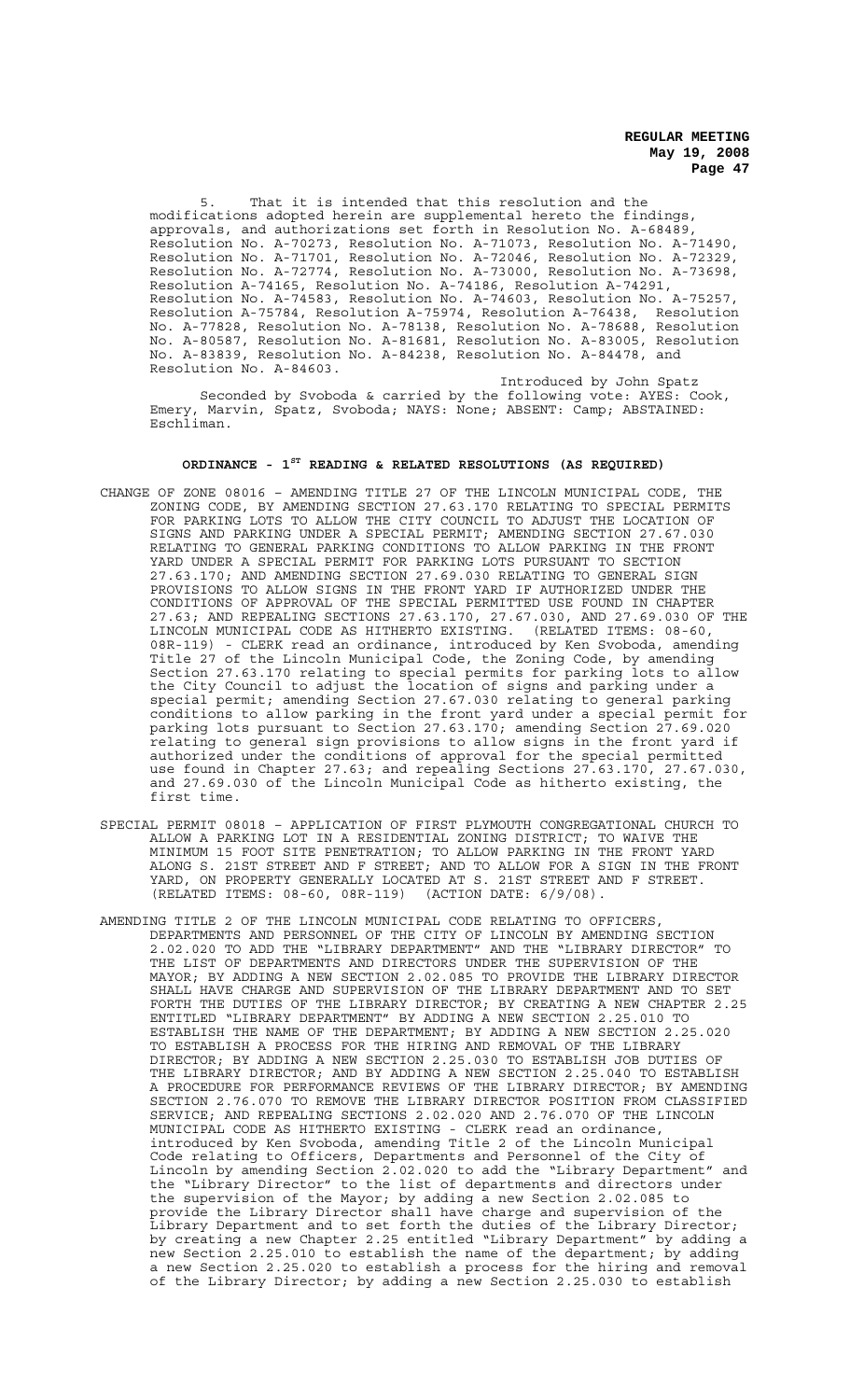5. That it is intended that this resolution and the modifications adopted herein are supplemental hereto the findings, approvals, and authorizations set forth in Resolution No. A-68489, Resolution No. A-70273, Resolution No. A-71073, Resolution No. A-71490, Resolution No. A-71701, Resolution No. A-72046, Resolution No. A-72329, Resolution No. A-72774, Resolution No. A-73000, Resolution No. A-73698, Resolution A-74165, Resolution No. A-74186, Resolution A-74291, Resolution No. A-74583, Resolution No. A-74603, Resolution No. A-75257, Resolution A-75784, Resolution A-75974, Resolution A-76438, Resolution No. A-77828, Resolution No. A-78138, Resolution No. A-78688, Resolution No. A-80587, Resolution No. A-81681, Resolution No. A-83005, Resolution No. A-83839, Resolution No. A-84238, Resolution No. A-84478, and Resolution No. A-84603.

Introduced by John Spatz Seconded by Svoboda & carried by the following vote: AYES: Cook, Emery, Marvin, Spatz, Svoboda; NAYS: None; ABSENT: Camp; ABSTAINED: Eschliman.

# **ORDINANCE - 1ST READING & RELATED RESOLUTIONS (AS REQUIRED)**

- CHANGE OF ZONE 08016 AMENDING TITLE 27 OF THE LINCOLN MUNICIPAL CODE, THE ZONING CODE, BY AMENDING SECTION 27.63.170 RELATING TO SPECIAL PERMITS FOR PARKING LOTS TO ALLOW THE CITY COUNCIL TO ADJUST THE LOCATION OF SIGNS AND PARKING UNDER A SPECIAL PERMIT; AMENDING SECTION 27.67.030 RELATING TO GENERAL PARKING CONDITIONS TO ALLOW PARKING IN THE FRONT YARD UNDER A SPECIAL PERMIT FOR PARKING LOTS PURSUANT TO SECTION 27.63.170; AND AMENDING SECTION 27.69.030 RELATING TO GENERAL SIGN PROVISIONS TO ALLOW SIGNS IN THE FRONT YARD IF AUTHORIZED UNDER THE CONDITIONS OF APPROVAL OF THE SPECIAL PERMITTED USE FOUND IN CHAPTER 27.63; AND REPEALING SECTIONS 27.63.170, 27.67.030, AND 27.69.030 OF THE LINCOLN MUNICIPAL CODE AS HITHERTO EXISTING. (RELATED ITEMS: 08-60, 08R-119) - CLERK read an ordinance, introduced by Ken Svoboda, amending Title 27 of the Lincoln Municipal Code, the Zoning Code, by amending Section 27.63.170 relating to special permits for parking lots to allow the City Council to adjust the location of signs and parking under a special permit; amending Section 27.67.030 relating to general parking conditions to allow parking in the front yard under a special permit for parking lots pursuant to Section 27.63.170; amending Section 27.69.020 relating to general sign provisions to allow signs in the front yard if authorized under the conditions of approval for the special permitted use found in Chapter 27.63; and repealing Sections 27.63.170, 27.67.030, and 27.69.030 of the Lincoln Municipal Code as hitherto existing, the first time.
- SPECIAL PERMIT 08018 APPLICATION OF FIRST PLYMOUTH CONGREGATIONAL CHURCH TO ALLOW A PARKING LOT IN A RESIDENTIAL ZONING DISTRICT; TO WAIVE THE MINIMUM 15 FOOT SITE PENETRATION; TO ALLOW PARKING IN THE FRONT YARD ALONG S. 21ST STREET AND F STREET; AND TO ALLOW FOR A SIGN IN THE FRONT YARD, ON PROPERTY GENERALLY LOCATED AT S. 21ST STREET AND F STREET. (RELATED ITEMS: 08-60, 08R-119) (ACTION DATE: 6/9/08).
- AMENDING TITLE 2 OF THE LINCOLN MUNICIPAL CODE RELATING TO OFFICERS, DEPARTMENTS AND PERSONNEL OF THE CITY OF LINCOLN BY AMENDING SECTION 2.02.020 TO ADD THE "LIBRARY DEPARTMENT" AND THE "LIBRARY DIRECTOR" TO THE LIST OF DEPARTMENTS AND DIRECTORS UNDER THE SUPERVISION OF THE MAYOR; BY ADDING A NEW SECTION 2.02.085 TO PROVIDE THE LIBRARY DIRECTOR SHALL HAVE CHARGE AND SUPERVISION OF THE LIBRARY DEPARTMENT AND TO SET FORTH THE DUTIES OF THE LIBRARY DIRECTOR; BY CREATING A NEW CHAPTER 2.25 ENTITLED "LIBRARY DEPARTMENT" BY ADDING A NEW SECTION 2.25.010 TO ESTABLISH THE NAME OF THE DEPARTMENT; BY ADDING A NEW SECTION 2.25.020 TO ESTABLISH A PROCESS FOR THE HIRING AND REMOVAL OF THE LIBRARY DIRECTOR; BY ADDING A NEW SECTION 2.25.030 TO ESTABLISH JOB DUTIES OF THE LIBRARY DIRECTOR; AND BY ADDING A NEW SECTION 2.25.040 TO ESTABLISH A PROCEDURE FOR PERFORMANCE REVIEWS OF THE LIBRARY DIRECTOR; BY AMENDING SECTION 2.76.070 TO REMOVE THE LIBRARY DIRECTOR POSITION FROM CLASSIFIED SERVICE; AND REPEALING SECTIONS 2.02.020 AND 2.76.070 OF THE LINCOLN MUNICIPAL CODE AS HITHERTO EXISTING - CLERK read an ordinance, introduced by Ken Svoboda, amending Title 2 of the Lincoln Municipal Code relating to Officers, Departments and Personnel of the City of Lincoln by amending Section 2.02.020 to add the "Library Department" and the "Library Director" to the list of departments and directors under the supervision of the Mayor; by adding a new Section 2.02.085 to provide the Library Director shall have charge and supervision of the Library Department and to set forth the duties of the Library Director; by creating a new Chapter 2.25 entitled "Library Department" by adding a new Section 2.25.010 to establish the name of the department; by adding a new Section 2.25.020 to establish a process for the hiring and removal of the Library Director; by adding a new Section 2.25.030 to establish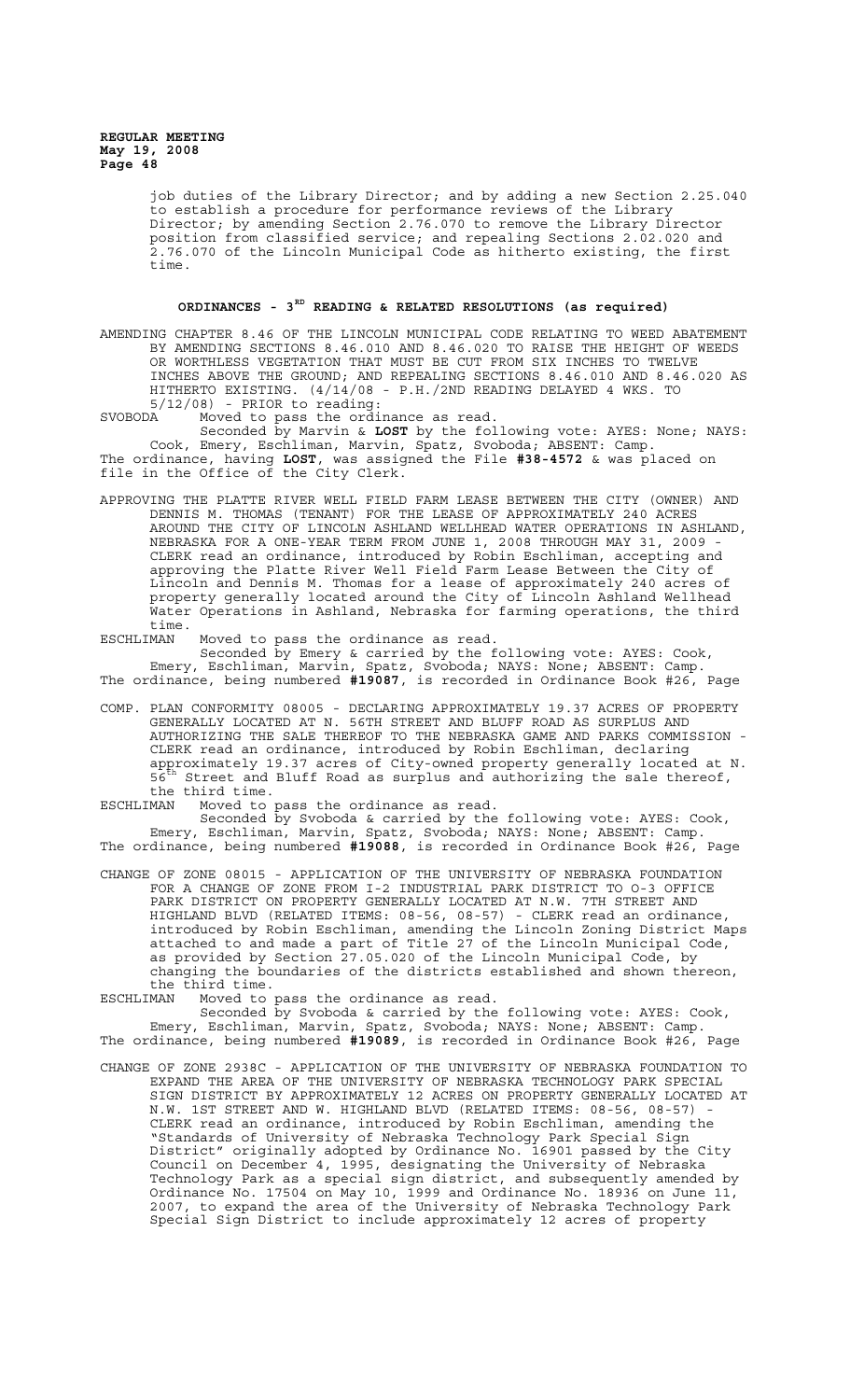> job duties of the Library Director; and by adding a new Section 2.25.040 to establish a procedure for performance reviews of the Library Director; by amending Section 2.76.070 to remove the Library Director position from classified service; and repealing Sections 2.02.020 and 2.76.070 of the Lincoln Municipal Code as hitherto existing, the first time.

# **ORDINANCES - 3RD READING & RELATED RESOLUTIONS (as required)**

AMENDING CHAPTER 8.46 OF THE LINCOLN MUNICIPAL CODE RELATING TO WEED ABATEMENT BY AMENDING SECTIONS 8.46.010 AND 8.46.020 TO RAISE THE HEIGHT OF WEEDS OR WORTHLESS VEGETATION THAT MUST BE CUT FROM SIX INCHES TO TWELVE INCHES ABOVE THE GROUND; AND REPEALING SECTIONS 8.46.010 AND 8.46.020 AS HITHERTO EXISTING. (4/14/08 - P.H./2ND READING DELAYED 4 WKS. TO

5/12/08) - PRIOR to reading: SVOBODA Moved to pass the ordinance as read.

Seconded by Marvin & **LOST** by the following vote: AYES: None; NAYS: Cook, Emery, Eschliman, Marvin, Spatz, Svoboda; ABSENT: Camp. The ordinance, having **LOST**, was assigned the File **#38-4572** & was placed on file in the Office of the City Clerk.

APPROVING THE PLATTE RIVER WELL FIELD FARM LEASE BETWEEN THE CITY (OWNER) AND DENNIS M. THOMAS (TENANT) FOR THE LEASE OF APPROXIMATELY 240 ACRES AROUND THE CITY OF LINCOLN ASHLAND WELLHEAD WATER OPERATIONS IN ASHLAND, NEBRASKA FOR A ONE-YEAR TERM FROM JUNE 1, 2008 THROUGH MAY 31, 2009 - CLERK read an ordinance, introduced by Robin Eschliman, accepting and approving the Platte River Well Field Farm Lease Between the City of Lincoln and Dennis M. Thomas for a lease of approximately 240 acres of property generally located around the City of Lincoln Ashland Wellhead Water Operations in Ashland, Nebraska for farming operations, the third time.

ESCHLIMAN Moved to pass the ordinance as read.

Seconded by Emery & carried by the following vote: AYES: Cook, Emery, Eschliman, Marvin, Spatz, Svoboda; NAYS: None; ABSENT: Camp. The ordinance, being numbered **#19087**, is recorded in Ordinance Book #26, Page

- COMP. PLAN CONFORMITY 08005 DECLARING APPROXIMATELY 19.37 ACRES OF PROPERTY GENERALLY LOCATED AT N. 56TH STREET AND BLUFF ROAD AS SURPLUS AND AUTHORIZING THE SALE THEREOF TO THE NEBRASKA GAME AND PARKS COMMISSION - CLERK read an ordinance, introduced by Robin Eschliman, declaring approximately 19.37 acres of City-owned property generally located at N.  $56^{\text{th}}$  Street and Bluff Road as surplus and authorizing the sale thereof, the third time.
- ESCHLIMAN Moved to pass the ordinance as read.

Seconded by Svoboda & carried by the following vote: AYES: Cook, Emery, Eschliman, Marvin, Spatz, Svoboda; NAYS: None; ABSENT: Camp. The ordinance, being numbered **#19088**, is recorded in Ordinance Book #26, Page

- CHANGE OF ZONE 08015 APPLICATION OF THE UNIVERSITY OF NEBRASKA FOUNDATION FOR A CHANGE OF ZONE FROM I-2 INDUSTRIAL PARK DISTRICT TO O-3 OFFICE PARK DISTRICT ON PROPERTY GENERALLY LOCATED AT N.W. 7TH STREET AND HIGHLAND BLVD (RELATED ITEMS: 08-56, 08-57) - CLERK read an ordinance, introduced by Robin Eschliman, amending the Lincoln Zoning District Maps attached to and made a part of Title 27 of the Lincoln Municipal Code, as provided by Section 27.05.020 of the Lincoln Municipal Code, by changing the boundaries of the districts established and shown thereon, the third time.
- ESCHLIMAN Moved to pass the ordinance as read.

Seconded by Svoboda & carried by the following vote: AYES: Cook, Emery, Eschliman, Marvin, Spatz, Svoboda; NAYS: None; ABSENT: Camp. The ordinance, being numbered **#19089**, is recorded in Ordinance Book #26, Page

CHANGE OF ZONE 2938C - APPLICATION OF THE UNIVERSITY OF NEBRASKA FOUNDATION TO EXPAND THE AREA OF THE UNIVERSITY OF NEBRASKA TECHNOLOGY PARK SPECIAL SIGN DISTRICT BY APPROXIMATELY 12 ACRES ON PROPERTY GENERALLY LOCATED AT N.W. 1ST STREET AND W. HIGHLAND BLVD (RELATED ITEMS: 08-56, 08-57) CLERK read an ordinance, introduced by Robin Eschliman, amending the "Standards of University of Nebraska Technology Park Special Sign District" originally adopted by Ordinance No. 16901 passed by the City Council on December 4, 1995, designating the University of Nebraska Technology Park as a special sign district, and subsequently amended by Ordinance No. 17504 on May 10, 1999 and Ordinance No. 18936 on June 11, 2007, to expand the area of the University of Nebraska Technology Park Special Sign District to include approximately 12 acres of property